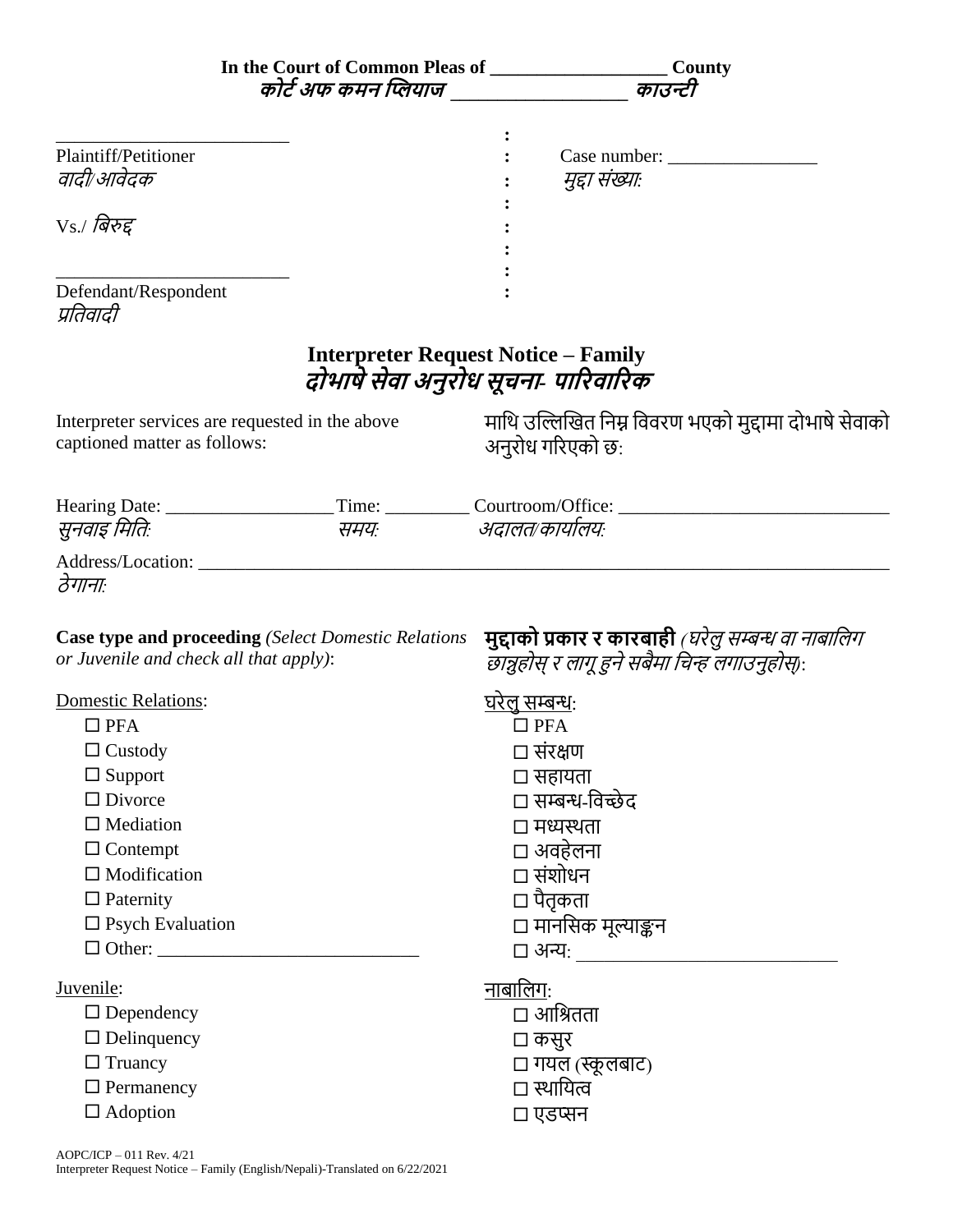|                                                                                 |                                                            | In the Court of Common Pleas of __________________________County<br>कोर्ट अफ कमन प्लियाज __________________ काउन्टी |
|---------------------------------------------------------------------------------|------------------------------------------------------------|---------------------------------------------------------------------------------------------------------------------|
| Plaintiff/Petitioner<br>वादी/आवेदक                                              |                                                            | Case number:<br>मुद्दा संख्या:                                                                                      |
| $Vs$ ./ बिरुद्द                                                                 |                                                            |                                                                                                                     |
| Defendant/Respondent<br>प्रतिवादी                                               |                                                            |                                                                                                                     |
|                                                                                 |                                                            | <b>Interpreter Request Notice - Family</b><br>दोभाषे सेवा अनुरोध सूचना- पारिवारिक                                   |
| Interpreter services are requested in the above<br>captioned matter as follows: |                                                            | माथि उल्लिखित निम्न विवरण भएको मुद्दामा दोभाषे सेवाको<br>अनुरोध गरिएको छ:                                           |
|                                                                                 |                                                            |                                                                                                                     |
| सुनवाइ मितिः                                                                    |                                                            | समयः अदालत/कार्यालयः                                                                                                |
| ठेगानाः                                                                         |                                                            |                                                                                                                     |
| or Juvenile and check all that apply):                                          | <b>Case type and proceeding (Select Domestic Relations</b> | मुद्दाको प्रकार र कारबाही <i>(घरेलु सम्बन्ध वा नाबालिग</i><br>छान्नुहोस् र लागू हुने सबैमा चिन्ह लगाउनुहोस):        |
| Domestic Relations:                                                             |                                                            | <u>घरेल सम्बन्धः</u>                                                                                                |
| $\Box$ PFA                                                                      |                                                            | $\square$ PFA                                                                                                       |
| $\Box$ Custody                                                                  |                                                            | □ संरक्षण                                                                                                           |
| $\Box$ Support                                                                  |                                                            | □ सहायता                                                                                                            |
| $\Box$ Divorce                                                                  |                                                            | □ सम्बन्ध-विच्छेद                                                                                                   |
| $\Box$ Mediation                                                                |                                                            | □ मध्यस्थता                                                                                                         |
| $\Box$ Contempt                                                                 |                                                            | □ अवहेलना                                                                                                           |
| $\Box$ Modification                                                             |                                                            | □ संशोधन                                                                                                            |
| $\Box$ Paternity                                                                |                                                            | □ पैतृकता                                                                                                           |
| $\square$ Psych Evaluation                                                      |                                                            | □ मानसिक मूल्याङ्कन                                                                                                 |
|                                                                                 |                                                            | □ अन्यः _____________________                                                                                       |
| Juvenile:                                                                       |                                                            | <u>नाबालिगः</u>                                                                                                     |
| $\Box$ Dependency                                                               |                                                            | □ आश्रितता                                                                                                          |
| $\Box$ Delinquency                                                              |                                                            | □ कसुर                                                                                                              |
| $\Box$ Truancy                                                                  |                                                            | □ गयल (स्कूलबाट)                                                                                                    |
| $\Box$ Permanency                                                               |                                                            | □ स्थायित्व                                                                                                         |
| $\Box$ Adoption                                                                 |                                                            | □ एडप्सन                                                                                                            |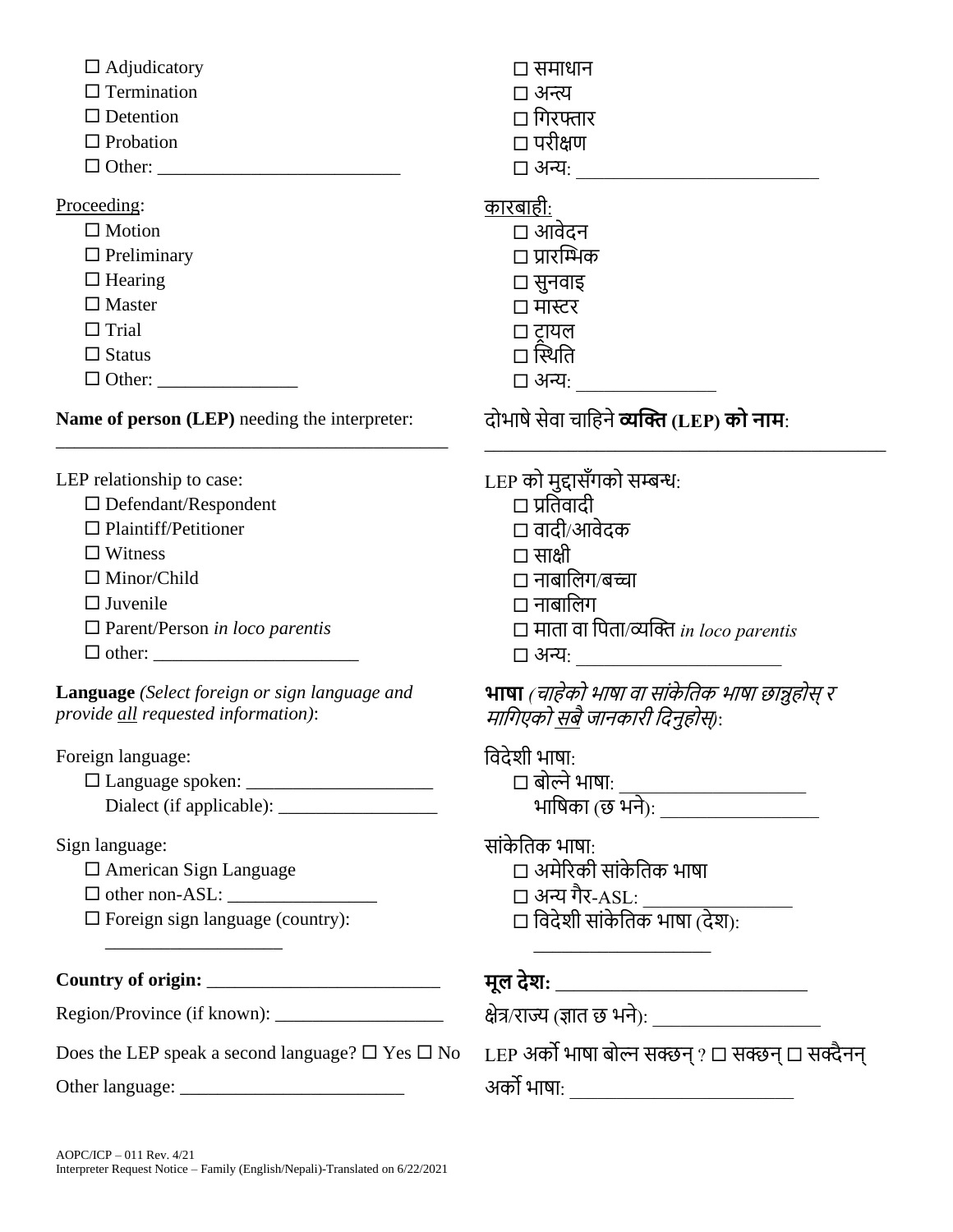$\Box$  Adjudicatory  $\Box$  Adjudicatory

 $\square$  Termination  $\square$  अन्त्य

- $\Box$  Detention  $\Box$  Principles  $\Box$  Principles  $\Box$  Principles  $\Box$  Principles  $\Box$  Principles  $\Box$  Principles  $\Box$  Principles  $\Box$  Principles  $\Box$  Principles  $\Box$  Principles  $\Box$  Principles  $\Box$  Principles  $\Box$  Principle
- $\Box$  Probation  $\Box$  Probation
- Other: \_\_\_\_\_\_\_\_\_\_\_\_\_\_\_\_\_\_\_\_\_\_\_\_\_\_ अन्य: \_\_\_\_\_\_\_\_\_\_\_\_\_\_\_\_\_\_\_\_\_\_\_\_\_\_

Proceeding: बार कारबाही:

- 
- 

Other: \_\_\_\_\_\_\_\_\_\_\_\_\_\_\_ अन्य: \_\_\_\_\_\_\_\_\_\_\_\_\_\_\_

**Name of person (LEP)** needing the interpreter:

\_\_\_\_\_\_\_\_\_\_\_\_\_\_\_\_\_\_\_\_\_\_\_\_\_\_\_\_\_\_\_\_\_\_\_\_\_\_\_\_\_\_

- $\Box$  Defendant/Respondent
- Plaintiff/Petitioner वादी/आवेदक
- $\Box$  Witness  $\Box$  Witness
- 
- 
- 
- other: \_\_\_\_\_\_\_\_\_\_\_\_\_\_\_\_\_\_\_\_\_\_ अन्य: \_\_\_\_\_\_\_\_\_\_\_\_\_\_\_\_\_\_\_\_\_\_

**Language** *(Select foreign or sign language and provide all requested information)*:

Foreign language: बाह्य बाह्य बाह्य बाह्य बाह्य बाह्य बाह्य बाह्य बाह्य बाह्य बाह्य बाह्य बाह्य बाह्य बाह्य बा

 Language spoken: \_\_\_\_\_\_\_\_\_\_\_\_\_\_\_\_\_\_\_\_ िोल्िेभाषा: \_\_\_\_\_\_\_\_\_\_\_\_\_\_\_\_\_\_\_\_ Dialect (if applicable):

Sign language: सांके बिक भाषा:

American Sign Language अमेररकी सांके बिक भाषा

other non-ASL: \_\_\_\_\_\_\_\_\_\_\_\_\_\_\_\_ अन्य गैर-ASL: \_\_\_\_\_\_\_\_\_\_\_\_\_\_\_\_

 $\Box$  Foreign sign language (country):

**Country of origin:** \_\_\_\_\_\_\_\_\_\_\_\_\_\_\_\_\_\_\_\_\_\_\_\_\_ **मूल देश:** \_\_\_\_\_\_\_\_\_\_\_\_\_\_\_\_\_\_\_\_\_\_\_\_\_\_\_

Region/Province (if known): \_\_\_\_\_\_\_\_\_\_\_\_\_\_\_\_\_\_ क्षेत्र/राज्य (ज्ञाि छ भिे): \_\_\_\_\_\_\_\_\_\_\_\_\_\_\_\_\_\_

 $\square$  Motion  $\square$  आवेदन  $\Box$  Preliminary  $\Box$  प्रारम्भिक  $\Box$  Hearing  $\Box$   $\Box$   $\overline{q}$  $\overline{r}$  $\Box$  Master  $\Box$  HRET Trial टर ायल  $\Box$  Status  $\Box$  Status  $\Box$ 

दोभाषेसेवा िाबहिे**व्यप्लि (LEP) को नाम**:

\_\_\_\_\_\_\_\_\_\_\_\_\_\_\_\_\_\_\_\_\_\_\_\_\_\_\_\_\_\_\_\_\_\_\_\_\_\_\_\_\_\_\_

LEP relationship to case: LEP को मुद्दासँगको सम्बन्ध:

- 
- 
- $\Box$  Minor/Child  $\Box$  नाबालिग/बच्चा
- $\Box$  Juvenile  $\Box$  Juvenile
- Parent/Person *in loco parentis*  मािा वा बपिा/व्यक्ति *in loco parentis*
	-

**भाषा** *(*िाहेको भाषा वा सांके बिक भाषा छान्नुहोस्र माबगएको सिैजािकारी बदिुहोस्*)*:

| $\Box$ बोल्ने भाषा: |  |
|---------------------|--|
| भाषिका (छ भने):     |  |

- 
- $\Box$  विदेशी सांकेतिक भाषा (देश): \_\_\_\_\_\_\_\_\_\_\_\_\_\_\_\_\_\_\_

Does the LEP speak a second language?  $\Box$  Yes  $\Box$  No LEP अर्को भाषा बोल्न सक्छन ?  $\Box$  सक्छन  $\Box$  सक्दैनन Other language: \_\_\_\_\_\_\_\_\_\_\_\_\_\_\_\_\_\_\_\_\_\_\_\_ अको भाषा: \_\_\_\_\_\_\_\_\_\_\_\_\_\_\_\_\_\_\_\_\_\_\_\_